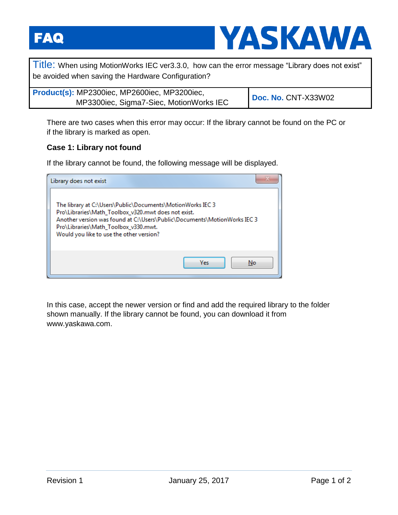FAQ



Title: When using MotionWorks IEC ver3.3.0, how can the error message "Library does not exist" be avoided when saving the Hardware Configuration?

| Product(s): MP2300iec, MP2600iec, MP3200iec, |                            |
|----------------------------------------------|----------------------------|
| MP3300iec, Sigma7-Siec, MotionWorks IEC      | <b>Doc. No. CNT-X33W02</b> |

There are two cases when this error may occur: If the library cannot be found on the PC or if the library is marked as open.

## **Case 1: Library not found**

If the library cannot be found, the following message will be displayed.

| Library does not exist                                                                                                                                                                                                                                                            |  |
|-----------------------------------------------------------------------------------------------------------------------------------------------------------------------------------------------------------------------------------------------------------------------------------|--|
| The library at C:\Users\Public\Documents\MotionWorks IEC 3<br>Pro\Libraries\Math_Toolbox_v320.mwt does not exist.<br>Another version was found at C:\Users\Public\Documents\MotionWorks IEC 3<br>Pro\Libraries\Math_Toolbox_v330.mwt.<br>Would you like to use the other version? |  |
| Yes<br>No.                                                                                                                                                                                                                                                                        |  |

In this case, accept the newer version or find and add the required library to the folder shown manually. If the library cannot be found, you can download it from www.yaskawa.com.